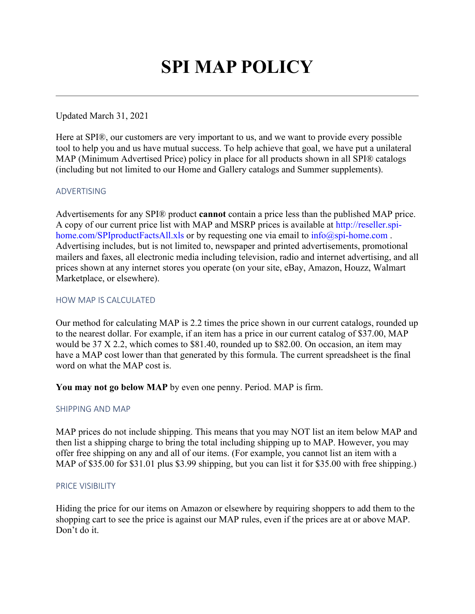# **SPI MAP POLICY**

# Updated March 31, 2021

Here at SPI®, our customers are very important to us, and we want to provide every possible tool to help you and us have mutual success. To help achieve that goal, we have put a unilateral MAP (Minimum Advertised Price) policy in place for all products shown in all SPI® catalogs (including but not limited to our Home and Gallery catalogs and Summer supplements).

## ADVERTISING

Advertisements for any SPI® product **cannot** contain a price less than the published MAP price. A copy of our current price list with MAP and MSRP prices is available at [http://reseller.spi](http://reseller.spi-home.com/SPIproductFactsAll.xls)[home.com/SPIproductFactsAll.xls](http://reseller.spi-home.com/SPIproductFactsAll.xls) or by requesting one via email to [info@spi-home.com](mailto:info@spi-home.com). Advertising includes, but is not limited to, newspaper and printed advertisements, promotional mailers and faxes, all electronic media including television, radio and internet advertising, and all prices shown at any internet stores you operate (on your site, eBay, Amazon, Houzz, Walmart Marketplace, or elsewhere).

#### HOW MAP IS CALCULATED

Our method for calculating MAP is 2.2 times the price shown in our current catalogs, rounded up to the nearest dollar. For example, if an item has a price in our current catalog of \$37.00, MAP would be 37 X 2.2, which comes to \$81.40, rounded up to \$82.00. On occasion, an item may have a MAP cost lower than that generated by this formula. The current spreadsheet is the final word on what the MAP cost is.

**You may not go below MAP** by even one penny. Period. MAP is firm.

## SHIPPING AND MAP

MAP prices do not include shipping. This means that you may NOT list an item below MAP and then list a shipping charge to bring the total including shipping up to MAP. However, you may offer free shipping on any and all of our items. (For example, you cannot list an item with a MAP of \$35.00 for \$31.01 plus \$3.99 shipping, but you can list it for \$35.00 with free shipping.)

#### PRICE VISIBILITY

Hiding the price for our items on Amazon or elsewhere by requiring shoppers to add them to the shopping cart to see the price is against our MAP rules, even if the prices are at or above MAP. Don't do it.